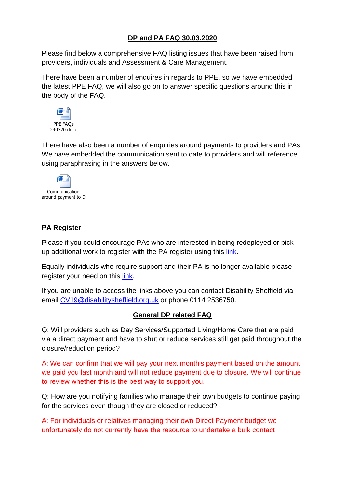# **DP and PA FAQ 30.03.2020**

Please find below a comprehensive FAQ listing issues that have been raised from providers, individuals and Assessment & Care Management.

There have been a number of enquires in regards to PPE, so we have embedded the latest PPE FAQ, we will also go on to answer specific questions around this in the body of the FAQ.



There have also been a number of enquiries around payments to providers and PAs. We have embedded the communication sent to date to providers and will reference using paraphrasing in the answers below.



## **PA Register**

Please if you could encourage PAs who are interested in being redeployed or pick up additional work to register with the PA register using this [link.](https://forms.office.com/Pages/ResponsePage.aspx?id=thxYYSuUTUycWnY47BEAWPQqA-p0MrtNtth7kidvhHpUNDZRMzY5M1VMSEpGOEtDMjNBQ0dUU1NTOSQlQCN0PWcu)

Equally individuals who require support and their PA is no longer available please register your need on this [link.](https://www.disabilitysheffield.org.uk/admin/resources/pa-support-referral-form-1.doc)

If you are unable to access the links above you can contact Disability Sheffield via email [CV19@disabilitysheffield.org.uk](mailto:CV19@disabilitysheffield.org.uk) or phone 0114 2536750.

## **General DP related FAQ**

Q: Will providers such as Day Services/Supported Living/Home Care that are paid via a direct payment and have to shut or reduce services still get paid throughout the closure/reduction period?

A: We can confirm that we will pay your next month's payment based on the amount we paid you last month and will not reduce payment due to closure. We will continue to review whether this is the best way to support you.

Q: How are you notifying families who manage their own budgets to continue paying for the services even though they are closed or reduced?

A: For individuals or relatives managing their own Direct Payment budget we unfortunately do not currently have the resource to undertake a bulk contact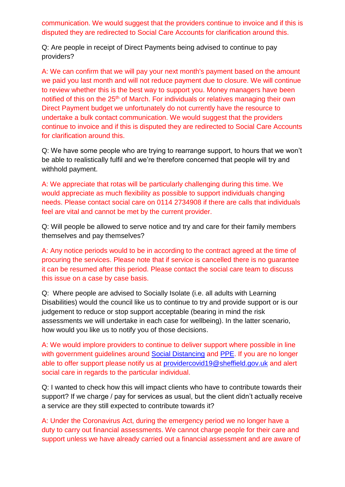communication. We would suggest that the providers continue to invoice and if this is disputed they are redirected to Social Care Accounts for clarification around this.

Q: Are people in receipt of Direct Payments being advised to continue to pay providers?

A: We can confirm that we will pay your next month's payment based on the amount we paid you last month and will not reduce payment due to closure. We will continue to review whether this is the best way to support you. Money managers have been notified of this on the 25<sup>th</sup> of March. For individuals or relatives managing their own Direct Payment budget we unfortunately do not currently have the resource to undertake a bulk contact communication. We would suggest that the providers continue to invoice and if this is disputed they are redirected to Social Care Accounts for clarification around this.

Q: We have some people who are trying to rearrange support, to hours that we won't be able to realistically fulfil and we're therefore concerned that people will try and withhold payment.

A: We appreciate that rotas will be particularly challenging during this time. We would appreciate as much flexibility as possible to support individuals changing needs. Please contact social care on 0114 2734908 if there are calls that individuals feel are vital and cannot be met by the current provider.

Q: Will people be allowed to serve notice and try and care for their family members themselves and pay themselves?

A: Any notice periods would to be in according to the contract agreed at the time of procuring the services. Please note that if service is cancelled there is no guarantee it can be resumed after this period. Please contact the social care team to discuss this issue on a case by case basis.

Q: Where people are advised to Socially Isolate (i.e. all adults with Learning Disabilities) would the council like us to continue to try and provide support or is our judgement to reduce or stop support acceptable (bearing in mind the risk assessments we will undertake in each case for wellbeing). In the latter scenario, how would you like us to notify you of those decisions.

A: We would implore providers to continue to deliver support where possible in line with government guidelines around [Social Distancing](https://www.gov.uk/government/publications/covid-19-guidance-on-social-distancing-and-for-vulnerable-people?utm_source=c2519d2e-b685-423d-a96c-6ec2cb69faed&utm_medium=email&utm_campaign=govuk-notifications&utm_content=immediate) and [PPE.](https://www.england.nhs.uk/coronavirus/wp-content/uploads/sites/52/2020/03/PPE-Letter-FINAL-20-March-2020-updated-on-22-March-2020.pdf) If you are no longer able to offer support please notify us at [providercovid19@sheffield.gov.uk](mailto:providercovid19@sheffield.gov.uk) and alert social care in regards to the particular individual.

Q: I wanted to check how this will impact clients who have to contribute towards their support? If we charge / pay for services as usual, but the client didn't actually receive a service are they still expected to contribute towards it?

A: Under the Coronavirus Act, during the emergency period we no longer have a duty to carry out financial assessments. We cannot charge people for their care and support unless we have already carried out a financial assessment and are aware of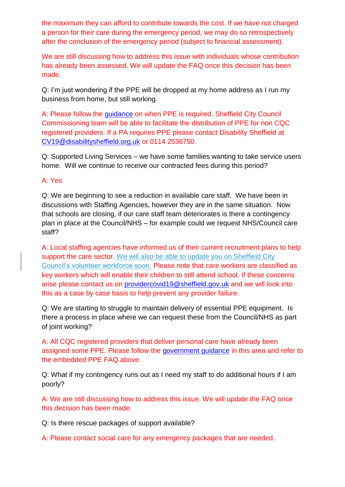the maximum they can afford to contribute towards the cost. If we have not charged a person for their care during the emergency period, we may do so retrospectively after the conclusion of the emergency period (subject to financial assessment).

We are still discussing how to address this issue with individuals whose contribution has already been assessed. We will update the FAQ once this decision has been made.

Q: I'm just wondering if the PPE will be dropped at my home address as I run my business from home, but still working.

A: Please follow the [guidance](https://www.gov.uk/government/publications/covid-19-residential-care-supported-living-and-home-care-guidance/covid-19-guidance-on-home-care-provision) on when PPE is required. Sheffield City Council Commissioning team will be able to facilitate the distribution of PPE for non CQC registered providers. If a PA requires PPE please contact Disability Sheffield at [CV19@disabilitysheffield.org.uk](mailto:CV19@disabilitysheffield.org.uk) or 0114 2536750.

Q: Supported Living Services – we have some families wanting to take service users home. Will we continue to receive our contracted fees during this period?

### A: Yes

Q: We are beginning to see a reduction in available care staff. We have been in discussions with Staffing Agencies, however they are in the same situation. Now that schools are closing, if our care staff team deteriorates is there a contingency plan in place at the Council/NHS – for example could we request NHS/Council care staff?

A: Local staffing agencies have informed us of their current recruitment plans to help support the care sector. We will also be able to update you on Sheffield City Council's volunteer workforce soon. Please note that care workers are classified as key workers which will enable their children to still attend school. If these concerns arise please contact us on [providercovid19@sheffield.gov.uk](mailto:providercovid19@sheffield.gov.uk) and we will look into this as a case by case basis to help prevent any provider failure.

Q: We are starting to struggle to maintain delivery of essential PPE equipment. Is there a process in place where we can request these from the Council/NHS as part of joint working?

A: All CQC registered providers that deliver personal care have already been assigned some PPE. Please follow the [government guidance](https://www.england.nhs.uk/coronavirus/wp-content/uploads/sites/52/2020/03/PPE-Letter-FINAL-20-March-2020-updated-on-22-March-2020.pdf) in this area and refer to the embedded PPE FAQ above.

Q: What if my contingency runs out as I need my staff to do additional hours if I am poorly?

A: We are still discussing how to address this issue. We will update the FAQ once this decision has been made.

Q: Is there rescue packages of support available?

A: Please contact social care for any emergency packages that are needed.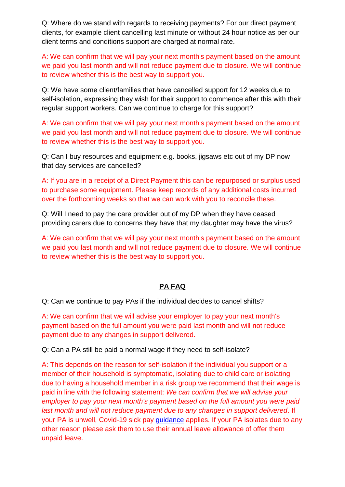Q: Where do we stand with regards to receiving payments? For our direct payment clients, for example client cancelling last minute or without 24 hour notice as per our client terms and conditions support are charged at normal rate.

A: We can confirm that we will pay your next month's payment based on the amount we paid you last month and will not reduce payment due to closure. We will continue to review whether this is the best way to support you.

Q: We have some client/families that have cancelled support for 12 weeks due to self-isolation, expressing they wish for their support to commence after this with their regular support workers. Can we continue to charge for this support?

A: We can confirm that we will pay your next month's payment based on the amount we paid you last month and will not reduce payment due to closure. We will continue to review whether this is the best way to support you.

Q: Can I buy resources and equipment e.g. books, jigsaws etc out of my DP now that day services are cancelled?

A: If you are in a receipt of a Direct Payment this can be repurposed or surplus used to purchase some equipment. Please keep records of any additional costs incurred over the forthcoming weeks so that we can work with you to reconcile these.

Q: Will I need to pay the care provider out of my DP when they have ceased providing carers due to concerns they have that my daughter may have the virus?

A: We can confirm that we will pay your next month's payment based on the amount we paid you last month and will not reduce payment due to closure. We will continue to review whether this is the best way to support you.

## **PA FAQ**

Q: Can we continue to pay PAs if the individual decides to cancel shifts?

A: We can confirm that we will advise your employer to pay your next month's payment based on the full amount you were paid last month and will not reduce payment due to any changes in support delivered.

Q: Can a PA still be paid a normal wage if they need to self-isolate?

A: This depends on the reason for self-isolation if the individual you support or a member of their household is symptomatic, isolating due to child care or isolating due to having a household member in a risk group we recommend that their wage is paid in line with the following statement: *We can confirm that we will advise your employer to pay your next month's payment based on the full amount you were paid last month and will not reduce payment due to any changes in support delivered*. If your PA is unwell, Covid-19 sick pay [guidance](https://www.gov.uk/government/publications/guidance-to-employers-and-businesses-about-covid-19/guidance-for-employers-and-businesses-on-coronavirus-covid-19#sick-pay) applies. If your PA isolates due to any other reason please ask them to use their annual leave allowance of offer them unpaid leave.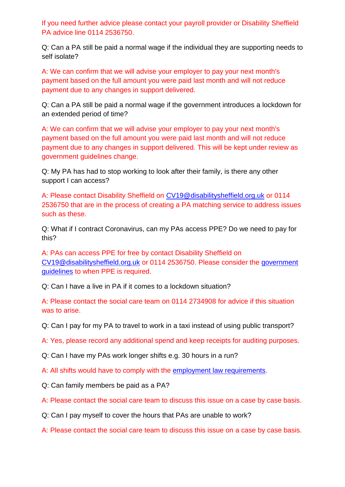If you need further advice please contact your payroll provider or Disability Sheffield PA advice line 0114 2536750.

Q: Can a PA still be paid a normal wage if the individual they are supporting needs to self isolate?

A: We can confirm that we will advise your employer to pay your next month's payment based on the full amount you were paid last month and will not reduce payment due to any changes in support delivered.

Q: Can a PA still be paid a normal wage if the government introduces a lockdown for an extended period of time?

A: We can confirm that we will advise your employer to pay your next month's payment based on the full amount you were paid last month and will not reduce payment due to any changes in support delivered. This will be kept under review as government guidelines change.

Q: My PA has had to stop working to look after their family, is there any other support I can access?

A: Please contact Disability Sheffield on [CV19@disabilitysheffield.org.uk](mailto:CV19@disabilitysheffield.org.uk) or 0114 2536750 that are in the process of creating a PA matching service to address issues such as these.

Q: What if I contract Coronavirus, can my PAs access PPE? Do we need to pay for this?

A: PAs can access PPE for free by contact Disability Sheffield on [CV19@disabilitysheffield.org.uk](mailto:CV19@disabilitysheffield.org.uk) or 0114 2536750. Please consider the [government](https://www.england.nhs.uk/coronavirus/wp-content/uploads/sites/52/2020/03/PPE-Letter-FINAL-20-March-2020-updated-on-22-March-2020.pdf)  [guidelines](https://www.england.nhs.uk/coronavirus/wp-content/uploads/sites/52/2020/03/PPE-Letter-FINAL-20-March-2020-updated-on-22-March-2020.pdf) to when PPE is required.

Q: Can I have a live in PA if it comes to a lockdown situation?

A: Please contact the social care team on 0114 2734908 for advice if this situation was to arise.

Q: Can I pay for my PA to travel to work in a taxi instead of using public transport?

A: Yes, please record any additional spend and keep receipts for auditing purposes.

Q: Can I have my PAs work longer shifts e.g. 30 hours in a run?

A: All shifts would have to comply with the [employment law requirements.](https://www.acas.org.uk/working-hours)

Q: Can family members be paid as a PA?

A: Please contact the social care team to discuss this issue on a case by case basis.

Q: Can I pay myself to cover the hours that PAs are unable to work?

A: Please contact the social care team to discuss this issue on a case by case basis.